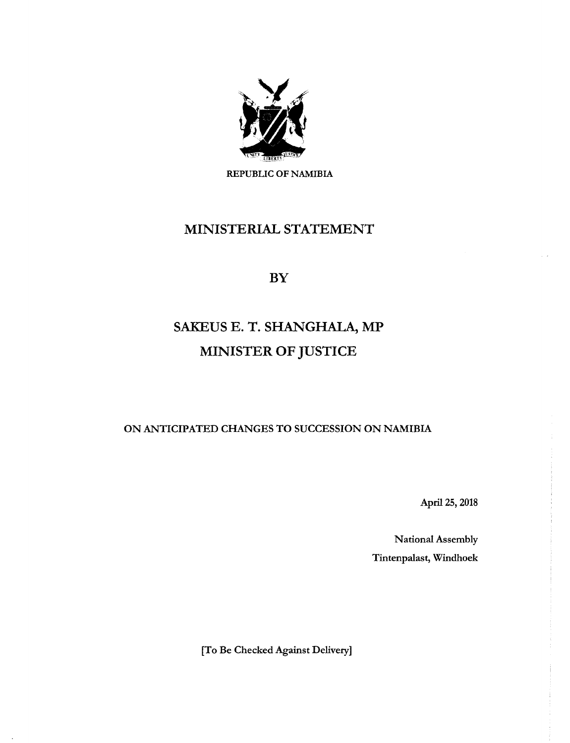

REPUBLIC OF NAMIBIA

## MINISTERIAL STATEMENT

BY

## SAKEUS E. T. SHANGHALA, MP MINISTER OF JUSTICE

ON ANTICIPATED CHANGES TO SUCCESSION ON NAMIBIA

April 25, 2018

National Assembly Tintenpalast, Windhoek

[To Be Checked Against Delivery]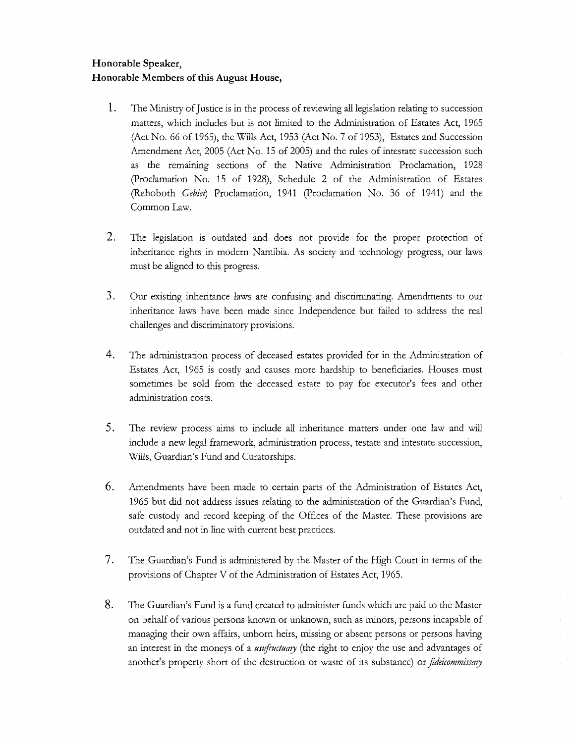## **Honorable Speaker, Honorable Members of this August House,**

- **1.** The Ministry of Justice is in the process of reviewing alllegislation relating to succession matters, which includes but is not limited to the Administration of Estates Act, 1965 (Act No. 66 of 1965), the Wills Act, 1953 (Act No. 7 of 1953), Estates and Succession Amendment Act, 2005 (Act No. 15 of 2005) and the rules of intestate succession such as the remaining sections of the Native Administration Proclamation, 1928 (proclamation No. 15 of 1928), Schedule 2 of the Administration of Estates (Rehoboth *Gebiet*) Proclamation, 1941 (Proclamation No. 36 of 1941) and the Common Law.
- 2. The legislation is outdated and does not provide for the proper protection of inheritance rights in modern Namibia. As society and technology progress, our laws must be aligned to this progress.
- 3. Our existing inheritance laws are confusing and discriminating. Amendments to our inheritance laws have been made since Independence but failed to address the real challenges and discriminatory provisions.
- 4. The administration process of deceased estates provided for in the Administration of Estates Act, 1965 is costly and causes more hardship to beneficiaries. Houses must sometimes be sold from the deceased estate to pay for executor's fees and other administration costs.
- 5. The review process aims to include all inheritance matters under one law and will include a new legal framework, administration process, testate and intestate succession, Wills, Guardian's Fund and Curatorships.
- **6.** Amendments have been made to certain parts of the Administration of Estates Act, 1965 but did not address issues relating to the administration of the Guardian's Fund, safe custody and record keeping of the Offices of the Master. These provisions are outdated and not in line with current best practices.
- 7. The Guardian's Fund is administered by the Master of the High Court in terms of the provisions of Chapter V of the Administration of Estates Act, 1965.
- **8.** The Guardian's Fund is a fund created to administer funds which are paid to the Master on behalf of various persons known or unknown, such as minors, persons incapable of managing their own affairs, unborn heirs, missing or absent persons or persons having an interest in the moneys of a *ustfructuary* (the right to enjoy the use and advantages of another's property short of the destruction or waste of its substance) or *ftdeicommissary*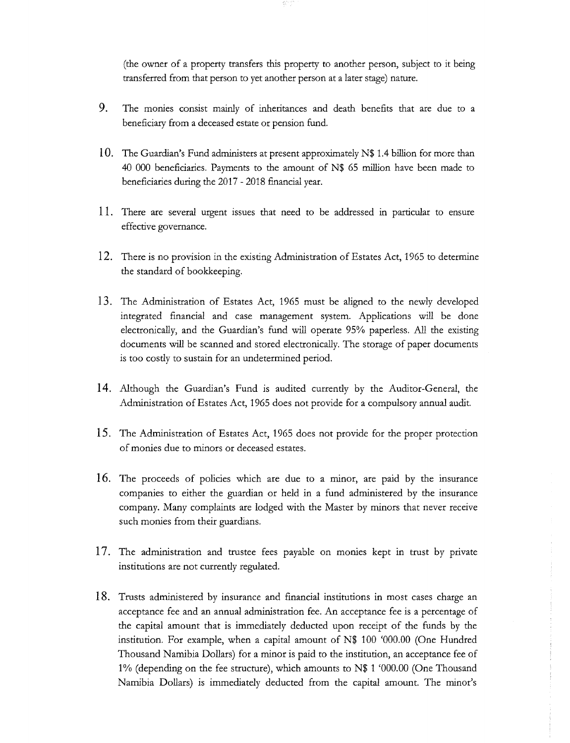(the owner of a property transfers this property to another person, subject to it being transferred from that person to yet another person at a later stage) nature.

- 9. The monies consist mainly of inheritances and death benefits that are due to a beneficiary from a deceased estate or pension fund.
- **10.** The Guardian's Fund administers at present approximately N\$ 1.4 billion for more than 40 000 beneficiaries. Payments to the amount of N\$ 65 million have been made to beneficiaries during the 2017 - 2018 financial year.
- 11. There are several urgent issues that need to be addressed in particular to ensure effective governance.
- **12.** There is no provision in the existing Administration of Estates Act, 1965 to determine the standard of bookkeeping.
- **13.** The Administration of Estates Act, 1965 must be aligned to the newly developed integrated financial and case management system. Applications will be done electronically, and the Guardian's fund will operate 95% paperless. All the existing documents will be scanned and stored electronically. The storage of paper documents is too costly to sustain for an undetermined period.
- **14.** Although the Guardian's Fund is audited currently by the Auditor-General, the Administration of Estates Act, 1965 does not provide for a compulsory annual audit.
- **15.** The Administration of Estates Act, 1965 does not provide for the proper protection of monies due to minors or deceased estates.
- **16.** The proceeds of policies which are due to a minor, are paid by the insurance companies to either the guardian or held in a fund administered by the insurance company. Many complaints are lodged with the Master by minors that never receive such monies from their guardians.
- 17. The administration and trustee fees payable on monies kept in trust by private institutions are not currently regulated.
- **18.** Trusts administered by insurance and financial institutions in most cases charge an acceptance fee and an annual administration fee. An acceptance fee is a percentage of the capital amount that is immediately deducted upon receipt of the funds by the institution. For example, when a capital amount of N\$ 100 '000.00 (One Hundred Thousand Namibia Dollars) for a minor is paid to the institution, an acceptance fee of 1% (depending on the fee structure), which amounts to N\$ 1 '000.00 (One Thousand Namibia Dollars) is immediately deducted from the capital amount. The minor's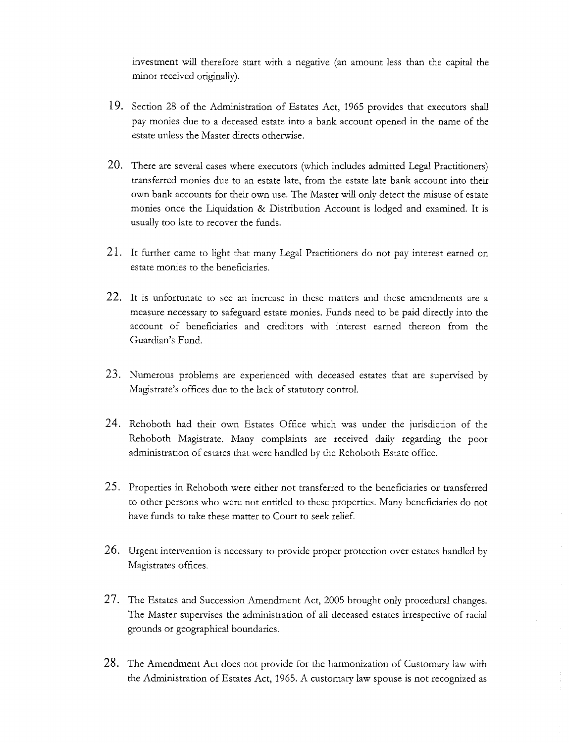investment will therefore start with a negative (an amount less than the capital the minor received originally).

- 19. Section 28 of the Administration of Estates Act, 1965 provides that executors shall pay monies due to a deceased estate into a bank account opened in the name of the estate unless the Master directs otherwise.
- 20. There are several cases where executors (which includes admitted Legal Practitioners) transferred monies due to an estate late, from the estate late bank account into their own bank accounts for their own use. The Master will only detect the misuse of estate monies once the Liquidation & Distribution Account is lodged and examined. It is usually too late to recover the funds.
- 21. It further came to light that many Legal Practitioners do not pay interest earned on estate monies to the beneficiaries.
- 22. It is unfortunate to see an increase in these matters and these amendments are a measure necessary to safeguard estate monies. Funds need to be paid directly into the account of beneficiaries and creditors with interest earned thereon from the Guardian's Fund.
- 23. Numerous problems are experienced with deceased estates that are supervised by Magistrate's offices due to the lack of statutory control.
- 24. Rehoboth had their own Estates Office which was under the jurisdiction of the Rehoboth Magistrate. Many complaints are received daily regarding the poor administration of estates that were handled by the Rehoboth Estate office.
- 25. Properties in Rehoboth were either not transferred to the beneficiaries or transferred to other persons who were not entitled to these properties. Many beneficiaries do not have funds to take these matter to Court to seek relief.
- 26. Urgent intervention is necessary to provide proper protection over estates handled by Magistrates offices.
- 27. The Estates and Succession Amendment Act, 2005 brought only procedural changes. The Master supervises the administration of all deceased estates irrespective of racial grounds or geographical boundaries.
- 28. The Amendment Act does not provide for the harmonization of Customary law with the Administration of Estates Act, 1965. A customary law spouse is not recognized as